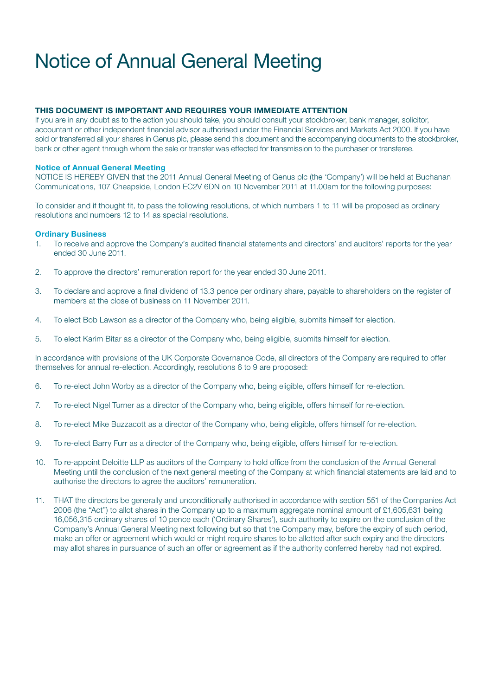# Notice of Annual General Meeting

## THIS DOCUMENT IS IMPORTANT AND REQUIRES YOUR IMMEDIATE ATTENTION

If you are in any doubt as to the action you should take, you should consult your stockbroker, bank manager, solicitor, accountant or other independent financial advisor authorised under the Financial Services and Markets Act 2000. If you have sold or transferred all your shares in Genus plc, please send this document and the accompanying documents to the stockbroker, bank or other agent through whom the sale or transfer was effected for transmission to the purchaser or transferee.

## Notice of Annual General Meeting

NOTICE IS HEREBY GIVEN that the 2011 Annual General Meeting of Genus plc (the 'Company') will be held at Buchanan Communications, 107 Cheapside, London EC2V 6DN on 10 November 2011 at 11.00am for the following purposes:

To consider and if thought fit, to pass the following resolutions, of which numbers 1 to 11 will be proposed as ordinary resolutions and numbers 12 to 14 as special resolutions.

## Ordinary Business

- 1. To receive and approve the Company's audited financial statements and directors' and auditors' reports for the year ended 30 June 2011.
- 2. To approve the directors' remuneration report for the year ended 30 June 2011.
- 3. To declare and approve a final dividend of 13.3 pence per ordinary share, payable to shareholders on the register of members at the close of business on 11 November 2011.
- 4. To elect Bob Lawson as a director of the Company who, being eligible, submits himself for election.
- 5. To elect Karim Bitar as a director of the Company who, being eligible, submits himself for election.

In accordance with provisions of the UK Corporate Governance Code, all directors of the Company are required to offer themselves for annual re-election. Accordingly, resolutions 6 to 9 are proposed:

- 6. To re-elect John Worby as a director of the Company who, being eligible, offers himself for re-election.
- 7. To re-elect Nigel Turner as a director of the Company who, being eligible, offers himself for re-election.
- 8. To re-elect Mike Buzzacott as a director of the Company who, being eligible, offers himself for re-election.
- 9. To re-elect Barry Furr as a director of the Company who, being eligible, offers himself for re-election.
- 10. To re-appoint Deloitte LLP as auditors of the Company to hold office from the conclusion of the Annual General Meeting until the conclusion of the next general meeting of the Company at which financial statements are laid and to authorise the directors to agree the auditors' remuneration.
- 11. THAT the directors be generally and unconditionally authorised in accordance with section 551 of the Companies Act 2006 (the "Act") to allot shares in the Company up to a maximum aggregate nominal amount of £1,605,631 being 16,056,315 ordinary shares of 10 pence each ('Ordinary Shares'), such authority to expire on the conclusion of the Company's Annual General Meeting next following but so that the Company may, before the expiry of such period, make an offer or agreement which would or might require shares to be allotted after such expiry and the directors may allot shares in pursuance of such an offer or agreement as if the authority conferred hereby had not expired.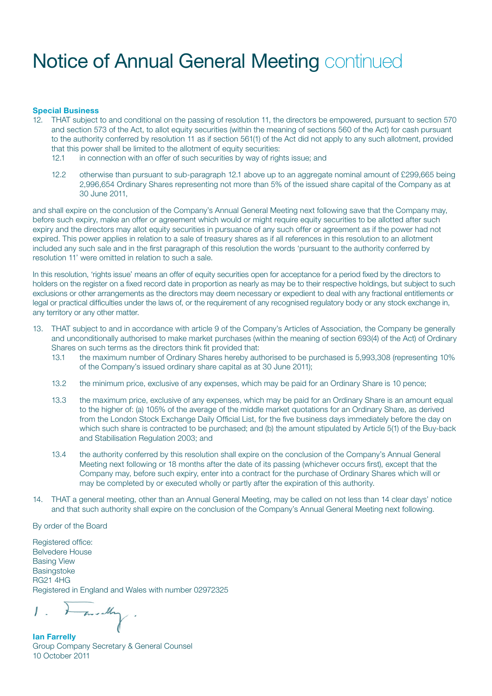## Notice of Annual General Meeting continued

#### Special Business

- 12. THAT subject to and conditional on the passing of resolution 11, the directors be empowered, pursuant to section 570 and section 573 of the Act, to allot equity securities (within the meaning of sections 560 of the Act) for cash pursuant to the authority conferred by resolution 11 as if section 561(1) of the Act did not apply to any such allotment, provided that this power shall be limited to the allotment of equity securities:
	- 12.1 in connection with an offer of such securities by way of rights issue; and
	- 12.2 otherwise than pursuant to sub-paragraph 12.1 above up to an aggregate nominal amount of £299,665 being 2,996,654 Ordinary Shares representing not more than 5% of the issued share capital of the Company as at 30 June 2011,

and shall expire on the conclusion of the Company's Annual General Meeting next following save that the Company may, before such expiry, make an offer or agreement which would or might require equity securities to be allotted after such expiry and the directors may allot equity securities in pursuance of any such offer or agreement as if the power had not expired. This power applies in relation to a sale of treasury shares as if all references in this resolution to an allotment included any such sale and in the first paragraph of this resolution the words 'pursuant to the authority conferred by resolution 11' were omitted in relation to such a sale.

In this resolution, 'rights issue' means an offer of equity securities open for acceptance for a period fixed by the directors to holders on the register on a fixed record date in proportion as nearly as may be to their respective holdings, but subject to such exclusions or other arrangements as the directors may deem necessary or expedient to deal with any fractional entitlements or legal or practical difficulties under the laws of, or the requirement of any recognised regulatory body or any stock exchange in, any territory or any other matter.

- 13. THAT subject to and in accordance with article 9 of the Company's Articles of Association, the Company be generally and unconditionally authorised to make market purchases (within the meaning of section 693(4) of the Act) of Ordinary Shares on such terms as the directors think fit provided that:
	- 13.1 the maximum number of Ordinary Shares hereby authorised to be purchased is 5,993,308 (representing 10% of the Company's issued ordinary share capital as at 30 June 2011);
	- 13.2 the minimum price, exclusive of any expenses, which may be paid for an Ordinary Share is 10 pence;
	- 13.3 the maximum price, exclusive of any expenses, which may be paid for an Ordinary Share is an amount equal to the higher of: (a) 105% of the average of the middle market quotations for an Ordinary Share, as derived from the London Stock Exchange Daily Official List, for the five business days immediately before the day on which such share is contracted to be purchased; and (b) the amount stipulated by Article 5(1) of the Buy-back and Stabilisation Regulation 2003; and
	- 13.4 the authority conferred by this resolution shall expire on the conclusion of the Company's Annual General Meeting next following or 18 months after the date of its passing (whichever occurs first), except that the Company may, before such expiry, enter into a contract for the purchase of Ordinary Shares which will or may be completed by or executed wholly or partly after the expiration of this authority.
- 14. THAT a general meeting, other than an Annual General Meeting, may be called on not less than 14 clear days' notice and that such authority shall expire on the conclusion of the Company's Annual General Meeting next following.

By order of the Board

Registered office: Belvedere House Basing View **Basingstoke** RG21 4HG Registered in England and Wales with number 02972325

medly

Ian Farrelly Group Company Secretary & General Counsel 10 October 2011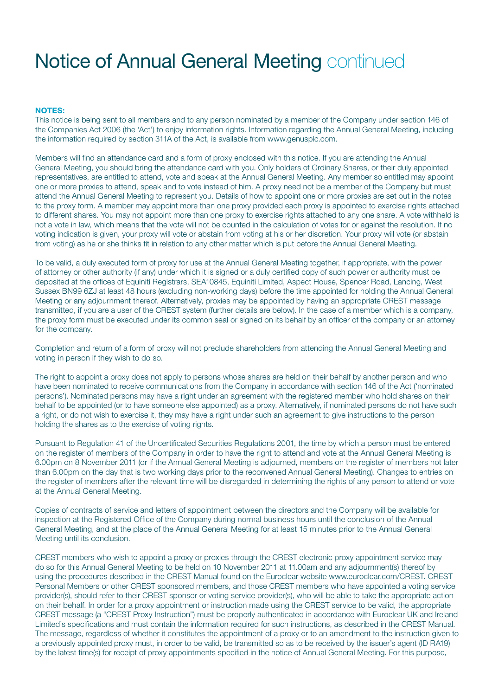# Notice of Annual General Meeting continued

### NOTES:

This notice is being sent to all members and to any person nominated by a member of the Company under section 146 of the Companies Act 2006 (the 'Act') to enjoy information rights. Information regarding the Annual General Meeting, including the information required by section 311A of the Act, is available from www.genusplc.com.

Members will find an attendance card and a form of proxy enclosed with this notice. If you are attending the Annual General Meeting, you should bring the attendance card with you. Only holders of Ordinary Shares, or their duly appointed representatives, are entitled to attend, vote and speak at the Annual General Meeting. Any member so entitled may appoint one or more proxies to attend, speak and to vote instead of him. A proxy need not be a member of the Company but must attend the Annual General Meeting to represent you. Details of how to appoint one or more proxies are set out in the notes to the proxy form. A member may appoint more than one proxy provided each proxy is appointed to exercise rights attached to different shares. You may not appoint more than one proxy to exercise rights attached to any one share. A vote withheld is not a vote in law, which means that the vote will not be counted in the calculation of votes for or against the resolution. If no voting indication is given, your proxy will vote or abstain from voting at his or her discretion. Your proxy will vote (or abstain from voting) as he or she thinks fit in relation to any other matter which is put before the Annual General Meeting.

To be valid, a duly executed form of proxy for use at the Annual General Meeting together, if appropriate, with the power of attorney or other authority (if any) under which it is signed or a duly certified copy of such power or authority must be deposited at the offices of Equiniti Registrars, SEA10845, Equiniti Limited, Aspect House, Spencer Road, Lancing, West Sussex BN99 6ZJ at least 48 hours (excluding non-working days) before the time appointed for holding the Annual General Meeting or any adjournment thereof. Alternatively, proxies may be appointed by having an appropriate CREST message transmitted, if you are a user of the CREST system (further details are below). In the case of a member which is a company, the proxy form must be executed under its common seal or signed on its behalf by an officer of the company or an attorney for the company.

Completion and return of a form of proxy will not preclude shareholders from attending the Annual General Meeting and voting in person if they wish to do so.

The right to appoint a proxy does not apply to persons whose shares are held on their behalf by another person and who have been nominated to receive communications from the Company in accordance with section 146 of the Act ('nominated persons'). Nominated persons may have a right under an agreement with the registered member who hold shares on their behalf to be appointed (or to have someone else appointed) as a proxy. Alternatively, if nominated persons do not have such a right, or do not wish to exercise it, they may have a right under such an agreement to give instructions to the person holding the shares as to the exercise of voting rights.

Pursuant to Regulation 41 of the Uncertificated Securities Regulations 2001, the time by which a person must be entered on the register of members of the Company in order to have the right to attend and vote at the Annual General Meeting is 6.00pm on 8 November 2011 (or if the Annual General Meeting is adjourned, members on the register of members not later than 6.00pm on the day that is two working days prior to the reconvened Annual General Meeting). Changes to entries on the register of members after the relevant time will be disregarded in determining the rights of any person to attend or vote at the Annual General Meeting.

Copies of contracts of service and letters of appointment between the directors and the Company will be available for inspection at the Registered Office of the Company during normal business hours until the conclusion of the Annual General Meeting, and at the place of the Annual General Meeting for at least 15 minutes prior to the Annual General Meeting until its conclusion.

CREST members who wish to appoint a proxy or proxies through the CREST electronic proxy appointment service may do so for this Annual General Meeting to be held on 10 November 2011 at 11.00am and any adjournment(s) thereof by using the procedures described in the CREST Manual found on the Euroclear website www.euroclear.com/CREST. CREST Personal Members or other CREST sponsored members, and those CREST members who have appointed a voting service provider(s), should refer to their CREST sponsor or voting service provider(s), who will be able to take the appropriate action on their behalf. In order for a proxy appointment or instruction made using the CREST service to be valid, the appropriate CREST message (a "CREST Proxy Instruction") must be properly authenticated in accordance with Euroclear UK and Ireland Limited's specifications and must contain the information required for such instructions, as described in the CREST Manual. The message, regardless of whether it constitutes the appointment of a proxy or to an amendment to the instruction given to a previously appointed proxy must, in order to be valid, be transmitted so as to be received by the issuer's agent (ID RA19) by the latest time(s) for receipt of proxy appointments specified in the notice of Annual General Meeting. For this purpose,